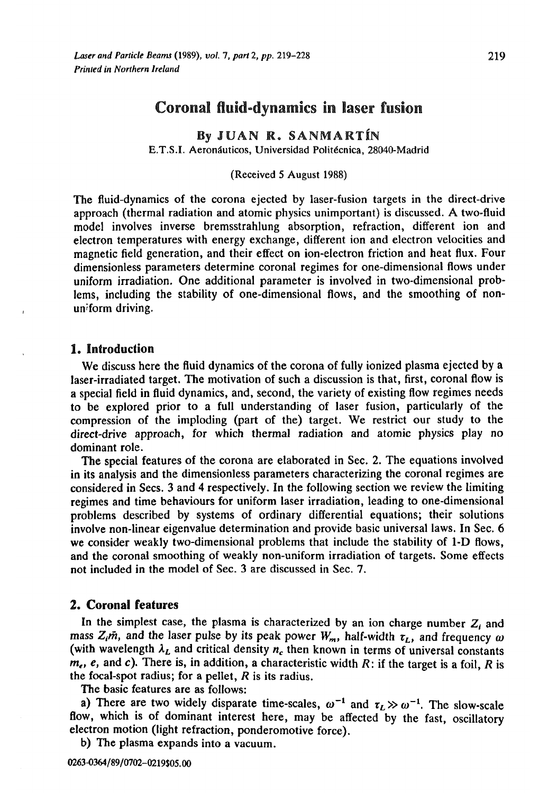# Coronal fluid-dynamics in laser fusion

By JUAN R. SANMARTÍN E.T.S.I. Aeronáuticos, Universidad Politécnica, 28040-Madrid

(Received 5 August 1988)

The fluid-dynamics of the corona ejected by laser-fusion targets in the direct-drive approach (thermal radiation and atomic physics unimportant) is discussed. A two-fluid model involves inverse bremsstrahlung absorption, refraction, different ion and electron temperatures with energy exchange, different ion and electron velocities and magnetic field generation, and their effect on ion-electron friction and heat flux. Four dimensionless parameters determine coronal regimes for one-dimensional flows under uniform irradiation. One additional parameter is involved in two-dimensional problems, including the stability of one-dimensional flows, and the smoothing of nonuniform driving.

# 1. Introduction

We discuss here the fluid dynamics of the corona of fully ionized plasma ejected by a laser-irradiated target. The motivation of such a discussion is that, first, coronal flow is a special field in fluid dynamics, and, second, the variety of existing flow regimes needs to be explored prior to a full understanding of laser fusion, particularly of the compression of the imploding (part of the) target. We restrict our study to the direct-drive approach, for which thermal radiation and atomic physics play no dominant role.

The special features of the corona are elaborated in Sec. 2. The equations involved in its analysis and the dimensionless parameters characterizing the coronal regimes are considered in Sees. 3 and 4 respectively. In the following section we review the limiting regimes and time behaviours for uniform laser irradiation, leading to one-dimensional problems described by systems of ordinary differential equations; their solutions involve non-linear eigenvalue determination and provide basic universal laws. In Sec. 6 we consider weakly two-dimensional problems that include the stability of 1-D flows, and the coronal smoothing of weakly non-uniform irradiation of targets. Some effects not included in the model of Sec. 3 are discussed in Sec. 7.

# 2. Coronal features

In the simplest case, the plasma is characterized by an ion charge number  $Z_i$  and mass  $Z_i$ *m*, and the laser pulse by its peak power  $W_m$ , half-width  $\tau_L$ , and frequency  $\omega$ (with wavelength  $\lambda_L$  and critical density  $n_c$  then known in terms of universal constants  $m_e$ , e, and c). There is, in addition, a characteristic width R: if the target is a foil, R is the focal-spot radius; for a pellet, *R* is its radius.

The basic features are as follows:

a) There are two widely disparate time-scales,  $\omega^{-1}$  and  $\tau_L \gg \omega^{-1}$ . The slow-scale flow, which is of dominant interest here, may be affected by the fast, oscillatory electron motion (light refraction, ponderomotive force).

b) The plasma expands into a vacuum.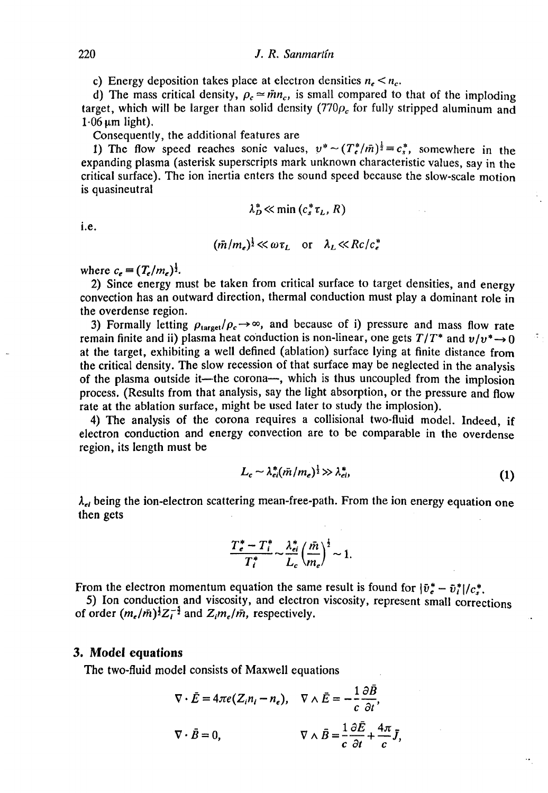c) Energy deposition takes place at electron densities  $n_e < n_c$ .

d) The mass critical density,  $\rho_c \approx \bar{m}n_c$ , is small compared to that of the imploding target, which will be larger than solid density ( $770\rho_c$  for fully stripped aluminum and  $1.06 \mu m$  light).

Consequently, the additional features are

1) The flow speed reaches sonic values,  $v^* \sim (T_e^*/m)^{\frac{1}{2}} = c_s^*$ , somewhere in the expanding plasma (asterisk superscripts mark unknown characteristic values, say in the critical surface). The ion inertia enters the sound speed because the slow-scale motion is quasineutral

$$
\lambda_D^* \ll \min\left(c_s^* \tau_L, R\right)
$$

i.e.

$$
(\bar{m}/m_e)^{\frac{1}{2}} \ll \omega \tau_L \quad \text{or} \quad \lambda_L \ll Rc/c_e^*
$$

where  $c_e = (T_e/m_e)^{\frac{1}{2}}$ .

2) Since energy must be taken from critical surface to target densities, and energy convection has an outward direction, thermal conduction must play a dominant role in the overdense region.

3) Formally letting  $\rho_{\text{target}}/\rho_c \rightarrow \infty$ , and because of i) pressure and mass flow rate remain finite and ii) plasma heat conduction is non-linear, one gets  $T/T^*$  and  $v/v^* \rightarrow 0$ at the target, exhibiting a well defined (ablation) surface lying at finite distance from the critical density. The slow recession of that surface may be neglected in the analysis of the plasma outside it—the corona—, which is thus uncoupled from the implosion process. (Results from that analysis, say the light absorption, or the pressure and flow rate at the ablation surface, might be used later to study the implosion).

4) The analysis of the corona requires a collisional two-fluid model. Indeed, if electron conduction and energy convection are to be comparable in the overdense region, its length must be

$$
L_c \sim \lambda_{ei}^* (\bar{m}/m_e)^{\frac{1}{2}} \gg \lambda_{ei}^*,\tag{1}
$$

 $\lambda_{el}$  being the ion-electron scattering mean-free-path. From the ion energy equation one then gets

$$
\frac{T_e^* - T_i^*}{T_i^*} \sim \frac{\lambda_{ei}^*}{L_c} \left(\frac{\bar{m}}{m_e}\right)^{\frac{1}{2}} \sim 1.
$$

From the electron momentum equation the same result is found for  $|\bar{v}_e^* - \bar{v}_i^*|/c_s^*$ .

5) Ion conduction and viscosity, and electron viscosity, represent small corrections of order  $(m_e/\bar{m})^{\frac{1}{2}}Z_t^{-\frac{5}{2}}$  and  $Z_i m_e/\bar{m}$ , respectively.

#### 3. Model equations

The two-fluid model consists of Maxwell equations

$$
\nabla \cdot \vec{E} = 4\pi e (Z_i n_i - n_e), \quad \nabla \wedge \vec{E} = -\frac{1}{c} \frac{\partial B}{\partial t},
$$
  

$$
\nabla \cdot \vec{B} = 0, \qquad \qquad \nabla \wedge \vec{B} = \frac{1}{c} \frac{\partial \vec{E}}{\partial t} + \frac{4\pi}{c} \vec{J},
$$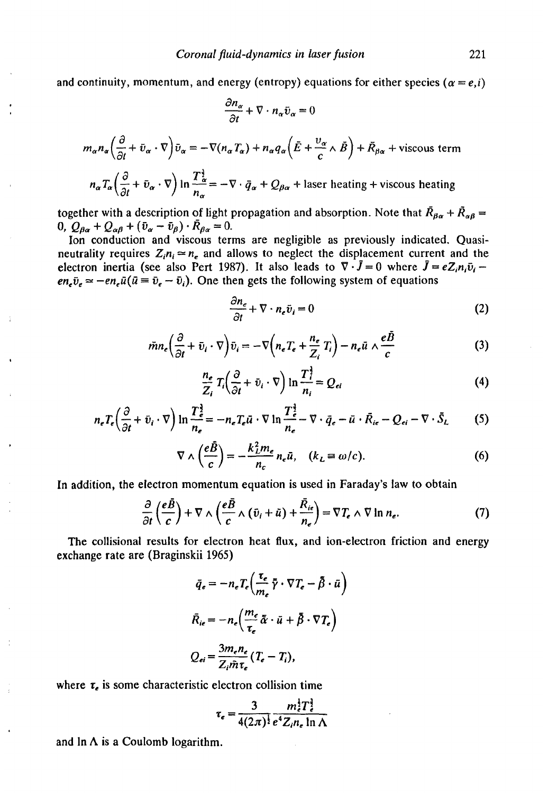and continuity, momentum, and energy (entropy) equations for either species  $(a = e, i)$ 

$$
\frac{\partial n_{\alpha}}{\partial t} + \nabla \cdot n_{\alpha} \bar{v}_{\alpha} = 0
$$
  

$$
m_{\alpha} n_{\alpha} \left( \frac{\partial}{\partial t} + \bar{v}_{\alpha} \cdot \nabla \right) \bar{v}_{\alpha} = -\nabla(n_{\alpha} T_{\alpha}) + n_{\alpha} q_{\alpha} \left( \bar{E} + \frac{v_{\alpha}}{c} \wedge \bar{B} \right) + \bar{R}_{\beta \alpha} + \text{viscous term}
$$
  

$$
n_{\alpha} T_{\alpha} \left( \frac{\partial}{\partial t} + \bar{v}_{\alpha} \cdot \nabla \right) \ln \frac{T_{\alpha}^{\frac{1}{2}}}{n_{\alpha}} = -\nabla \cdot \bar{q}_{\alpha} + Q_{\beta \alpha} + \text{ laser heating} + \text{viscous heating}
$$

together with a description of light propagation and absorption. Note that  $\bar{R}_{\beta\alpha} + \bar{R}_{\alpha\beta} =$ 0,  $Q_{\beta\alpha} + Q_{\alpha\beta} + (\bar{v}_{\alpha} - \bar{v}_{\beta}) \cdot \bar{R}_{\beta\alpha} = 0.$ 

Ion conduction and viscous terms are negligible as previously indicated. Quasineutrality requires  $Z_i n_i \approx n_e$  and allows to neglect the displacement current and the electron inertia (see also Pert 1987). It also leads to  $\nabla \cdot \vec{J} = 0$  where  $\vec{J} = eZ_i n_i \tilde{v}_i$  $en_z\bar{v}_z \approx -en_z\bar{u}(\bar{u} \equiv \bar{v}_z - \bar{v}_i)$ . One then gets the following system of equations

$$
\frac{\partial n_e}{\partial t} + \nabla \cdot n_e \bar{v}_i = 0 \tag{2}
$$

$$
\tilde{m}n_e \left( \frac{\partial}{\partial t} + \bar{v}_i \cdot \nabla \right) \bar{v}_i = -\nabla \left( n_e T_e + \frac{n_e}{Z_i} T_i \right) - n_e \bar{u} \wedge \frac{e \bar{B}}{c}
$$
 (3)

$$
\frac{n_e}{Z_i}T_i\left(\frac{\partial}{\partial t}+\bar{v}_i\cdot\nabla\right)\ln\frac{T_i^2}{n_i}=Q_{ei}
$$
\n(4)

$$
n_e T_e \left( \frac{\partial}{\partial t} + \bar{v}_i \cdot \nabla \right) \ln \frac{T_e^{\frac{3}{2}}}{n_e} = -n_e T_e \bar{u} \cdot \nabla \ln \frac{T_e^{\frac{3}{2}}}{n_e} - \nabla \cdot \bar{q}_e - \bar{u} \cdot \bar{R}_{ie} - Q_{ei} - \nabla \cdot \bar{S}_L \tag{5}
$$

$$
\nabla \wedge \left(\frac{e\bar{B}}{c}\right) = -\frac{k_L^2 m_e}{n_c} n_e \bar{u}, \quad (k_L \equiv \omega/c). \tag{6}
$$

In addition, the electron momentum equation is used in Faraday's law to obtain

$$
\frac{\partial}{\partial t}\left(\frac{e\bar{B}}{c}\right) + \nabla \wedge \left(\frac{e\bar{B}}{c} \wedge (\bar{v}_i + \bar{u}) + \frac{\bar{R}_{ie}}{n_e}\right) = \nabla T_e \wedge \nabla \ln n_e. \tag{7}
$$

The collisional results for electron heat flux, and ion-electron friction and energy exchange rate are (Braginskii 1965)

$$
\bar{q}_e = -n_e T_e \left( \frac{\tau_e}{m_e} \bar{\gamma} \cdot \nabla T_e - \bar{\beta} \cdot \bar{u} \right)
$$

$$
\bar{R}_{ie} = -n_e \left( \frac{m_e}{\tau_e} \bar{\alpha} \cdot \bar{u} + \bar{\beta} \cdot \nabla T_e \right)
$$

$$
Q_{ei} = \frac{3m_e n_e}{Z_i \bar{m} \tau_e} (T_e - T_i),
$$

where *x<sup>t</sup>* is some characteristic electron collision time

$$
\tau_e = \frac{3}{4(2\pi)^{\frac{1}{2}}} \frac{m_e^4 T_e^{\frac{3}{2}}}{e^4 Z_i n_e \ln \Lambda}
$$

and  $\ln \Lambda$  is a Coulomb logarithm.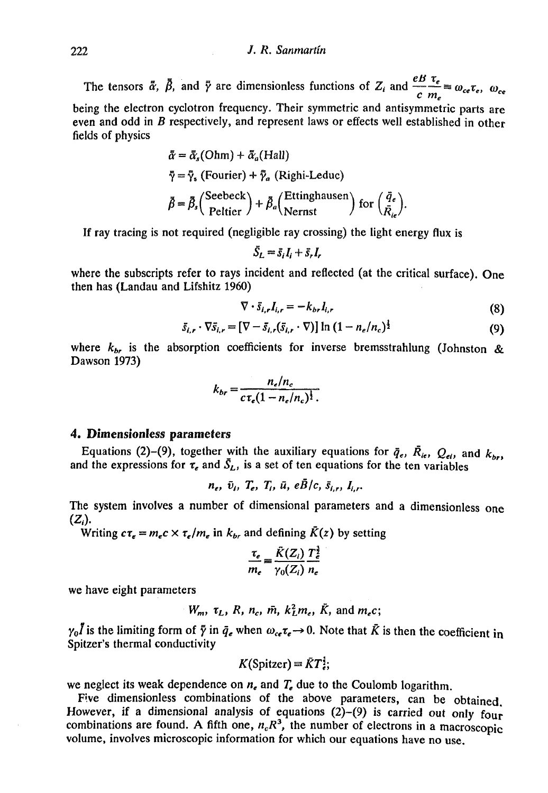### 222 *J. R. Sanmartin*

The tensors  $\bar{\alpha}$ ,  $\beta$ , and  $\bar{\gamma}$  are dimensionless functions of  $Z_i$  and  $\frac{Z_i}{c} = \omega_{ce} \tau_e$ ,  $\omega_{ce}$ *c m<sup>e</sup>* being the electron cyclotron frequency. Their symmetric and antisymmetric parts are even and odd in *B* respectively, and represent laws or effects well established in other fields of physics

$$
\bar{\alpha} = \bar{\alpha}_s(\text{Ohm}) + \bar{\alpha}_a(\text{Hall})
$$
  

$$
\bar{\gamma} = \bar{\gamma}_s \text{ (Fourier)} + \bar{\gamma}_a \text{ (Righti-Leduc)}
$$
  

$$
\bar{\beta} = \bar{\beta}_s \text{ (Select)} + \bar{\beta}_a \text{ (Etinghausen)} \text{ for } \left(\frac{\bar{q}_e}{\bar{R}_{ie}}\right)
$$

If ray tracing is not required (negligible ray crossing) the light energy flux is

$$
\bar{S}_L = \bar{s}_i I_i + \bar{s}_r I_r
$$

where the subscripts refer to rays incident and reflected (at the critical surface). One then has (Landau and Lifshitz 1960)

$$
\nabla \cdot \bar{s}_{i,r} I_{i,r} = -k_{br} I_{i,r} \tag{8}
$$

$$
\bar{s}_{i,r} \cdot \nabla \bar{s}_{i,r} = [\nabla - \bar{s}_{i,r}(\bar{s}_{i,r} \cdot \nabla)] \ln (1 - n_e/n_c)^{\frac{1}{2}}
$$
(9)

where *kbr* is the absorption coefficients for inverse bremsstrahlung (Johnston *&*  Dawson 1973)

$$
k_{br} = \frac{n_e/n_c}{c \tau_e (1 - n_e/n_c)^{\frac{1}{2}}}.
$$

# 4. Dimensionless parameters

Equations (2)-(9), together with the auxiliary equations for  $\bar{q}_e$ ,  $\bar{R}_i$ ,  $Q_{ei}$ , and  $k_{br}$ and the expressions for  $\tau_e$  and  $\bar{S}_L$ , is a set of ten equations for the ten variables

$$
n_e, \bar{v}_i, T_e, T_i, \bar{u}, e\bar{B}/c, \bar{s}_{i,r}, I_{i,r}.
$$

The system involves a number of dimensional parameters and a dimensionless one  $(Z_i).$ 

Writing  $c\tau_e = m_ec \times \tau_e/m_e$  in  $k_{br}$  and defining  $\bar{K}(z)$  by setting

$$
\frac{\tau_e}{m_e} = \frac{\tilde{K}(Z_i)}{\gamma_0(Z_i)} \frac{T_e^{\frac{3}{2}}}{n_e}
$$

we have eight parameters

$$
W_m, \tau_L, R, n_c, \bar{m}, k_L^2 m_e, \bar{K}, \text{ and } m_e c;
$$

 $\gamma_0 \vec{l}$  is the limiting form of  $\bar{\gamma}$  in  $\bar{q}_e$  when  $\omega_{ce} \tau_e \rightarrow 0$ . Note that  $\bar{K}$  is then the coefficient in Spitzer's thermal conductivity

$$
K(Spicture) = \bar{K}T_{\epsilon}^{\frac{1}{2}};
$$

we neglect its weak dependence on *ne* and *Te* due to the Coulomb logarithm.

Five dimensionless combinations of the above parameters, can be obtained. However, if a dimensional analysis of equations  $(2)-(9)$  is carried out only four combinations are found. A fifth one,  $n_c R^3$ , the number of electrons in a macroscopic volume, involves microscopic information for which our equations have no use.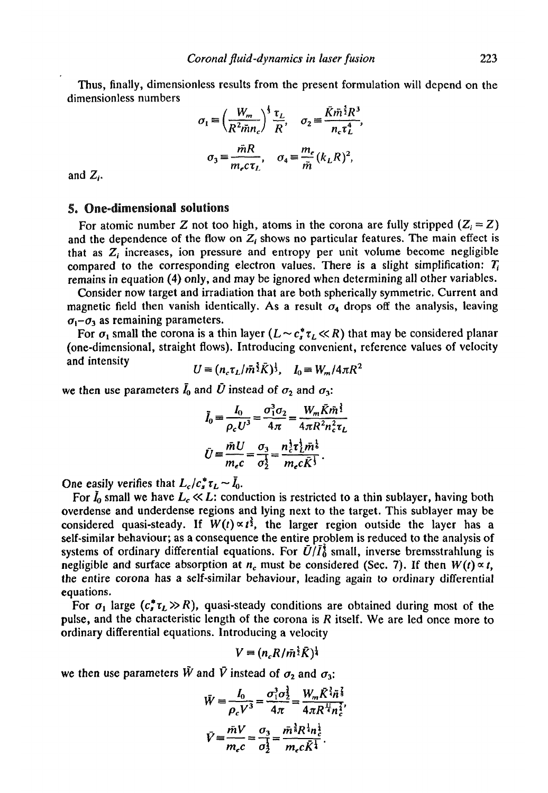Thus, finally, dimensionless results from the present formulation will depend on the dimensionless numbers

$$
\sigma_1 = \left(\frac{W_m}{R^2 \tilde{m} n_c}\right)^{\frac{1}{3}} \frac{\tau_L}{R}, \quad \sigma_2 = \frac{\tilde{K} \tilde{m}^{\frac{5}{2}} R^3}{n_c \tau_L^4},
$$

$$
\sigma_3 = \frac{\tilde{m} R}{m_c \tau_L}, \quad \sigma_4 = \frac{m_e}{\tilde{m}} (k_L R)^2,
$$

and  $Z_i$ .

## 5. One-dimensional solutions

For atomic number Z not too high, atoms in the corona are fully stripped  $(Z_i = Z)$ and the dependence of the flow on  $Z_i$  shows no particular features. The main effect is that as  $Z_i$  increases, ion pressure and entropy per unit volume become negligible compared to the corresponding electron values. There is a slight simplification:  $T_i$ remains in equation (4) only, and may be ignored when determining all other variables.

Consider now target and irradiation that are both spherically symmetric. Current and magnetic field then vanish identically. As a result  $\sigma_4$  drops off the analysis, leaving  $\sigma_1$ - $\sigma_3$  as remaining parameters.

For  $\sigma_1$  small the corona is a thin layer  $(L \sim c_s^* \tau_L \ll R)$  that may be considered planar (one-dimensional, straight flows). Introducing convenient, reference values of velocity<br>and intensity  $U = (n_c \tau_L / m^3 \bar{K})^3$ ,  $I_0 = W_m / 4 \pi R^2$ 

$$
U = (n_c \tau_L / m^2 \bar{K})^3
$$
,  $I_0 = W_m / 4 \pi R^2$ 

we then use parameters  $\bar{I}_0$  and  $\bar{U}$  instead of  $\sigma_2$  and  $\sigma_3$ :

$$
\tilde{I}_0 = \frac{I_0}{\rho_c U^3} = \frac{\sigma_1^3 \sigma_2}{4\pi} = \frac{W_m \bar{K} \bar{m}^{\frac{3}{2}}}{4\pi R^2 n_c^2 \tau_L}
$$
\n
$$
\bar{U} = \frac{\bar{m} U}{m_c c} = \frac{\sigma_3}{\sigma_2^1} = \frac{n_c^1 \tau_L^1 \bar{m}^2}{m_c c \bar{K}^{\frac{1}{3}}}.
$$

One easily verifies that  $L_c / c_s^* \tau_L \sim I_0$ .

For  $I_0$  small we have  $L_c \ll L$ : conduction is restricted to a thin sublayer, having both overdense and underdense regions and lying next to the target. This sublayer may be considered quasi-steady. If  $W(t) \propto t^{\frac{3}{2}}$ , the larger region outside the layer has a self-similar behaviour; as a consequence the entire problem is reduced to the analysis of systems of ordinary differential equations. For  $\bar{U}/\bar{I}_0^2$  small, inverse bremsstrahlung is negligible and surface absorption at  $n_c$  must be considered (Sec. 7). If then  $W(t) \propto t$ , the entire corona has a self-similar behaviour, leading again to ordinary differential equations.

For  $\sigma_1$  large  $(c^*_r \tau_L \gg R)$ , quasi-steady conditions are obtained during most of the pulse, and the characteristic length of the corona is *R* itself. We are led once more to ordinary differential equations. Introducing a velocity

$$
V=(n_cR/\bar{m}^{\frac{5}{2}}\bar{K})^{\frac{1}{4}}
$$

we then use parameters  $\tilde{W}$  and  $\tilde{V}$  instead of  $\sigma_2$  and  $\sigma_3$ :

$$
\bar{W} = \frac{I_0}{\rho_c V^3} = \frac{\sigma_1^3 \sigma_2^3}{4\pi} = \frac{W_m \bar{K}^{\frac{3}{4}} \bar{n}^{\frac{7}{8}}}{4\pi R^{\frac{11}{4}} n_c^{\frac{7}{8}}},
$$
\n
$$
\bar{V} = \frac{\bar{m}V}{m_c c} = \frac{\sigma_3}{\sigma_2^3} = \frac{\bar{m}^{\frac{3}{8}} R^{\frac{1}{4}} n_c^{\frac{1}{2}}}{m_c c \bar{K}^{\frac{1}{4}}}.
$$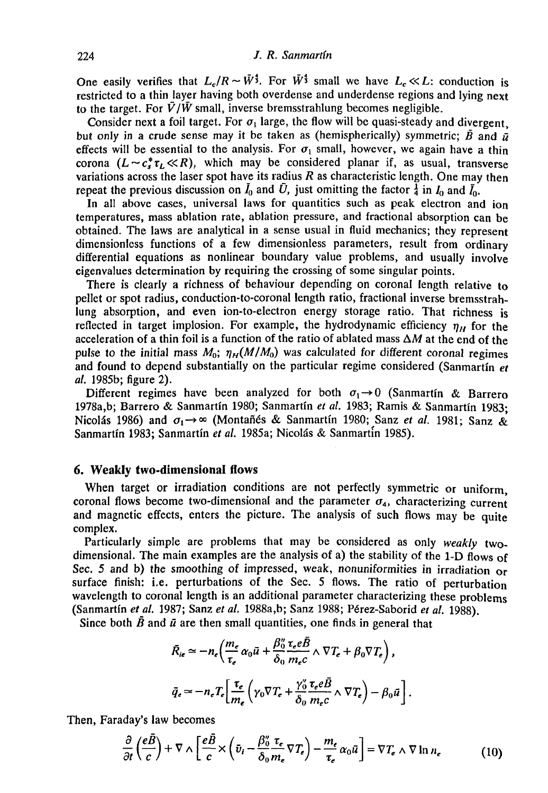One easily verifies that  $L_c/R \sim \bar{W}^{\frac{4}{3}}$ . For  $\bar{W}^{\frac{4}{3}}$  small we have  $L_c \ll L$ : conduction is restricted to a thin layer having both overdense and underdense regions and lying next to the target. For  $\bar{V}/\bar{W}$  small, inverse bremsstrahlung becomes negligible.

Consider next a foil target. For  $\sigma_1$  large, the flow will be quasi-steady and divergent. but only in a crude sense may it be taken as (hemispherically) symmetric;  $\bar{B}$  and  $\bar{u}$ effects will be essential to the analysis. For  $\sigma_1$  small, however, we again have a thin corona  $(L \sim c_s^* \tau_L \ll R)$ , which may be considered planar if, as usual, transverse variations across the laser spot have its radius *R* as characteristic length. One may then repeat the previous discussion on  $I_0$  and  $\bar{U}$ , just omitting the factor  $\frac{1}{4}$  in  $I_0$  and  $\bar{I}_0$ .

In all above cases, universal laws for quantities such as peak electron and ion temperatures, mass ablation rate, ablation pressure, and fractional absorption can be obtained. The laws are analytical in a sense usual in fluid mechanics; they represent dimensionless functions of a few dimensionless parameters, result from ordinary differential equations as nonlinear boundary value problems, and usually involve eigenvalues determination by requiring the crossing of some singular points.

There is clearly a richness of behaviour depending on coronal length relative to pellet or spot radius, conduction-to-coronal length ratio, fractional inverse bremsstrahlung absorption, and even ion-to-electron energy storage ratio. That richness is reflected in target implosion. For example, the hydrodynamic efficiency  $\eta_H$  for the acceleration of a thin foil is a function of the ratio of ablated mass  $\Delta M$  at the end of the pulse to the initial mass  $M_0$ ;  $\eta_H(M/M_0)$  was calculated for different coronal regimes and found to depend substantially on the particular regime considered (Sanmartin *et at.* 1985b; figure 2).

Different regimes have been analyzed for both  $\sigma_1 \rightarrow 0$  (Sanmartin & Barrero 1978a,b; Barrero & Sanmartin 1980; Sanmartin *et al.* 1983; Ramis & Sanmartin 1983; Nicolás 1986) and  $\sigma_1 \rightarrow \infty$  (Montañés & Sanmartín 1980; Sanz *et al.* 1981; Sanz & Sanmartin 1983; Sanmartin *et al.* 1985a; Nicolas & Sanmartin 1985).

### **6. Weakly two-dimensional flows**

**When** target or irradiation conditions are not perfectly symmetric or uniform, coronal flows become two-dimensional and the parameter  $\sigma_4$ , characterizing current and magnetic effects, enters the picture. The analysis of such flows may be quite complex.

Particularly simple are problems that may be considered as only *weakly* twodimensional. The main examples are the analysis of a) the stability of the 1-D flows of Sec. 5 and b) the smoothing of impressed, weak, nonuniformities in irradiation or surface finish: i.e. perturbations of the Sec. 5 flows. The ratio of perturbation wavelength to coronal length is an additional parameter characterizing these problems (Sanmartin *et al.* 1987; Sanz *et al.* 1988a,b; Sanz 1988; P6rez-Saborid *et al.* 1988).

Since both  $\bar{B}$  and  $\bar{u}$  are then small quantities, one finds in general that

$$
\bar{R}_{ie} \simeq -n_e \left( \frac{m_e}{\tau_e} \alpha_0 \bar{u} + \frac{\beta_0''}{\delta_0} \frac{\tau_e e B}{m_e c} \wedge \nabla T_e + \beta_0 \nabla T_e \right),
$$
\n
$$
\bar{q}_e \simeq -n_e T_e \left[ \frac{\tau_e}{m_e} \left( \gamma_0 \nabla T_e + \frac{\gamma_0''}{\delta_0} \frac{\tau_e e \bar{B}}{m_e c} \wedge \nabla T_e \right) - \beta_0 \bar{u} \right].
$$

Then, Faraday's law becomes

$$
\frac{\partial}{\partial t} \left( \frac{e\vec{B}}{c} \right) + \nabla \wedge \left[ \frac{e\vec{B}}{c} \times \left( \bar{v}_i - \frac{\beta_0''}{\delta_0 m_e} \nabla T_e \right) - \frac{m_e}{\tau_e} \alpha_0 \vec{u} \right] = \nabla T_e \wedge \nabla \ln n_e \tag{10}
$$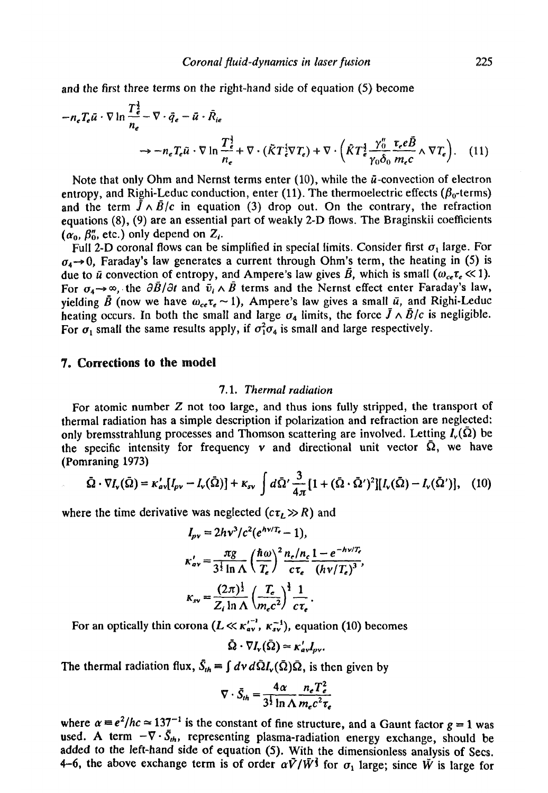and the first three terms on the right-hand side of equation (5) become

$$
-n_{\epsilon}T_{\epsilon}\bar{u}\cdot\nabla\ln\frac{T_{\epsilon}^{\frac{1}{2}}}{n_{\epsilon}}-\nabla\cdot\bar{q}_{\epsilon}-\bar{u}\cdot\hat{R}_{ie}
$$
  

$$
\rightarrow-n_{\epsilon}T_{\epsilon}\bar{u}\cdot\nabla\ln\frac{T_{\epsilon}^{\frac{1}{2}}}{n_{\epsilon}}+\nabla\cdot(\bar{K}T_{\epsilon}^{\frac{1}{2}}\nabla T_{\epsilon})+\nabla\cdot(\bar{K}T_{\epsilon}^{\frac{1}{2}}\frac{\gamma_{0}^{\prime\prime}}{r_{0}\delta_{0}}\frac{r_{\epsilon}e\bar{B}}{m_{\epsilon}c}\wedge\nabla T_{\epsilon}). \quad (11)
$$

Note that only Ohm and Nernst terms enter  $(10)$ , while the  $\bar{u}$ -convection of electron entropy, and Righi-Leduc conduction, enter (11). The thermoelectric effects ( $\beta_0$ -terms) and the term  $\tilde{J} \wedge \tilde{B}/c$  in equation (3) drop out. On the contrary, the refraction equations (8), (9) are an essential part of weakly 2-D flows. The Braginskii coefficients  $(\alpha_0, \beta_0, \text{ etc.})$  only depend on  $Z_i$ .

Full 2-D coronal flows can be simplified in special limits. Consider first  $\sigma_1$  large. For  $\sigma_4 \rightarrow 0$ , Faraday's law generates a current through Ohm's term, the heating in (5) is due to  $\bar{u}$  convection of entropy, and Ampere's law gives  $\bar{B}$ , which is small  $(\omega_{ce}\tau_e \ll 1)$ . For  $\sigma_4 \rightarrow \infty$ , the  $\partial \bar{B}/\partial t$  and  $\bar{v}_i \wedge \bar{B}$  terms and the Nernst effect enter Faraday's law, yielding  $\bar{B}$  (now we have  $\omega_{ce}r_e \sim 1$ ), Ampere's law gives a small  $\bar{u}$ , and Righi-Leduc heating occurs. In both the small and large  $\sigma_4$  limits, the force  $\bar{J} \wedge \bar{B}/c$  is negligible. For  $\sigma_1$  small the same results apply, if  $\sigma_1^2 \sigma_4$  is small and large respectively.

# 7. Corrections to the model

## 7.1. *Thermal radiation*

For atomic number Z not too large, and thus ions fully stripped, the transport of thermal radiation has a simple description if polarization and refraction are neglected: only bremsstrahlung processes and Thomson scattering are involved. Letting  $I_v(\bar{\Omega})$  be the specific intensity for frequency  $v$  and directional unit vector  $\overline{\Omega}$ , we have (Pomraning 1973)

$$
\tilde{\Omega}\cdot\nabla I_{\mathbf{v}}(\tilde{\Omega})=\kappa'_{\mathbf{a}\mathbf{v}}[I_{\rho\mathbf{v}}-I_{\mathbf{v}}(\tilde{\Omega})]+\kappa_{\mathbf{v}\mathbf{v}}\int d\tilde{\Omega}'\frac{3}{4\pi}\big[1+(\tilde{\Omega}\cdot\tilde{\Omega}')^2\big][I_{\mathbf{v}}(\tilde{\Omega})-I_{\mathbf{v}}(\tilde{\Omega}')\big],\quad(10)
$$

where the time derivative was neglected  $(c\tau_L \gg R)$  and

$$
I_{\rho\nu} = 2hv^3/c^2(e^{hv/T_e} - 1),
$$
  
\n
$$
\kappa'_{\alpha\nu} = \frac{\pi g}{3^{\frac{1}{2}} \ln \Lambda} \left(\frac{\hbar \omega}{T_e}\right)^2 \frac{n_e/n_c}{c\tau_e} \frac{1 - e^{-hv/T_e}}{(hv/T_e)^3},
$$
  
\n
$$
\kappa_{\rm sv} = \frac{(2\pi)^{\frac{1}{2}}}{Z_i \ln \Lambda} \left(\frac{T_e}{m_e c^2}\right)^{\frac{1}{2}} \frac{1}{c\tau_e}.
$$

For an optically thin corona  $(L \ll \kappa_{\text{av}}^{\prime^{-1}}, \kappa_{\text{av}}^{-1})$ , equation (10) becomes

 $\bar{\Omega} \cdot \nabla I_{\rm v}(\bar{\Omega}) \simeq \kappa'_{\rm av} I_{\rm nv}.$ 

The thermal radiation flux,  $\bar{S}_{th} = \int dv d\tilde{\Omega} I_{\nu}(\bar{\Omega}) \bar{\Omega}$ , is then given by

$$
\nabla \cdot \vec{S}_{th} = \frac{4\alpha}{3^{\frac{1}{2}}\ln \Lambda} \frac{n_e T_e^2}{m_e c^2 \tau_e}
$$

where  $\alpha = e^2/hc \approx 137^{-1}$  is the constant of fine structure, and a Gaunt factor  $g = 1$  was used. A term  $-\nabla \cdot \bar{S}_{th}$ , representing plasma-radiation energy exchange, should be added to the left-hand side of equation (5). With the dimensionless analysis of Sees. 4-6, the above exchange term is of order  $\alpha V/\bar{W}^{\frac{2}{3}}$  for  $\sigma_1$  large; since  $\tilde{W}$  is large for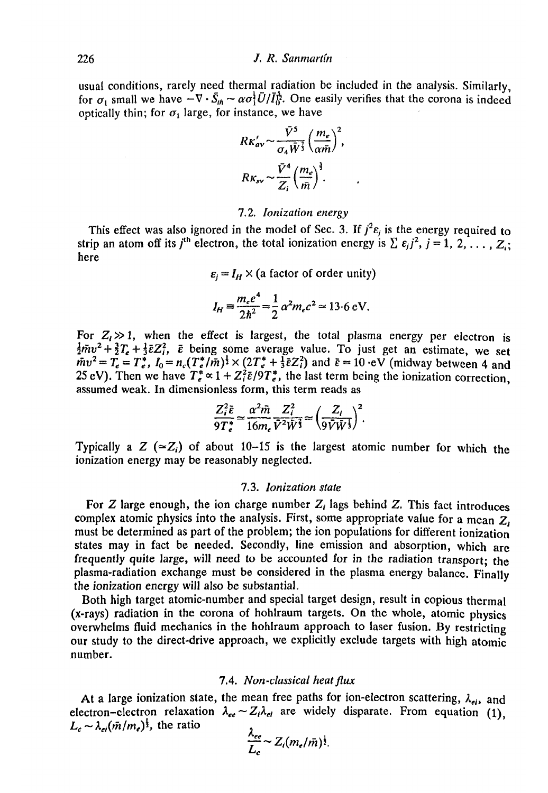usual conditions, rarely need thermal radiation be included in the analysis. Similarly, for  $\sigma_1$  small we have  $-\nabla \cdot \bar{S}_{\mu} \sim \alpha \sigma_1^2 \bar{U}/\bar{I}_0^2$ . One easily verifies that the corona is indeed optically thin; for  $\sigma_1$  large, for instance, we have

$$
R\kappa'_{\alpha\nu} \sim \frac{\bar{V}^5}{\sigma_4 \bar{W}^3} \left(\frac{m_e}{\alpha \bar{m}}\right)^2,
$$
  

$$
R\kappa_{\rm sv} \sim \frac{\bar{V}^4}{Z_i} \left(\frac{m_e}{\bar{m}}\right)^{\frac{3}{2}}.
$$

#### 7.2. *Ionization energy*

This effect was also ignored in the model of Sec. 3. If  $j^2 \varepsilon_j$  is the energy required to strip an atom off its *j*<sup>th</sup> electron, the total ionization energy is  $\sum \epsilon_j j^2$ ,  $j = 1, 2, \ldots, Z_i$ ; here

 $\varepsilon_i = I_H \times$  (a factor of order unity)

$$
I_H = \frac{m_e e^4}{2\hbar^2} = \frac{1}{2} \alpha^2 m_e c^2 \approx 13.6 \text{ eV}.
$$

For  $Z_i \gg 1$ , when the effect is largest, the total plasma energy per electron is  $\frac{1}{2} m v^2 + \frac{3}{2} T_e + \frac{1}{3} \bar{\epsilon} Z_i^2$ ,  $\bar{\epsilon}$  being some average value. To just get an estimate, we set  $m v^2 = T_e = T_e^*$ ,  $I_0 = n_c (T_e^* / m)^{\frac{1}{2}} \times (2T_e^* + \frac{1}{3} \bar{\varepsilon} Z_i^2)$  and  $\bar{\varepsilon} = 10$  ·eV (midway between 4 and 25 eV). Then we have  $T_e^* \propto 1 + Z_i^2 \bar{\varepsilon}/9T_e^*$ , the last term being the ionization correction, assumed weak. In dimensionless form, this term reads as

$$
\frac{Z_i^2 \tilde{\varepsilon}}{9T_e^*} \simeq \frac{\alpha^2 \tilde{m}}{16m_e} \frac{Z_i^2}{\tilde{V}^2 \tilde{W}^{\frac{2}{3}}} \simeq \left(\frac{Z_i}{9\tilde{V}\tilde{W}^{\frac{1}{3}}}\right)^2.
$$

Typically a Z ( $\approx Z_i$ ) of about 10-15 is the largest atomic number for which the ionization energy may be reasonably neglected.

#### 7.3. *Ionization state*

For Z large enough, the ion charge number *Z<sup>t</sup>* lags behind Z. This fact introduces complex atomic physics into the analysis. First, some appropriate value for a mean  $Z<sub>i</sub>$ must be determined as part of the problem; the ion populations for different ionization states may in fact be needed. Secondly, line emission and absorption, which are frequently quite large, will need to be accounted for in the radiation transport; the plasma-radiation exchange must be considered in the plasma energy balance. Finally the ionization energy will also be substantial.

Both high target atomic-number and special target design, result in copious thermal (x-rays) radiation in the corona of hohlraum targets. On the whole, atomic physics overwhelms fluid mechanics in the hohlraum approach to laser fusion. By restricting our study to the direct-drive approach, we explicitly exclude targets with high atomic number.

### 7.4. *Non-classical heat flux*

At a large ionization state, the mean free paths for ion-electron scattering,  $\lambda_{nl}$ , and electron-electron relaxation  $\lambda_{ee} \sim Z_i \lambda_{ei}$  are widely disparate. From equation (1),  $L_c \sim \lambda_{ei} (\bar{m}/m_e)^{\frac{1}{2}}$ , the ratio

$$
\frac{\lambda_{ee}}{L_c} \sim Z_i (m_e/\bar{m})^{\frac{1}{2}}.
$$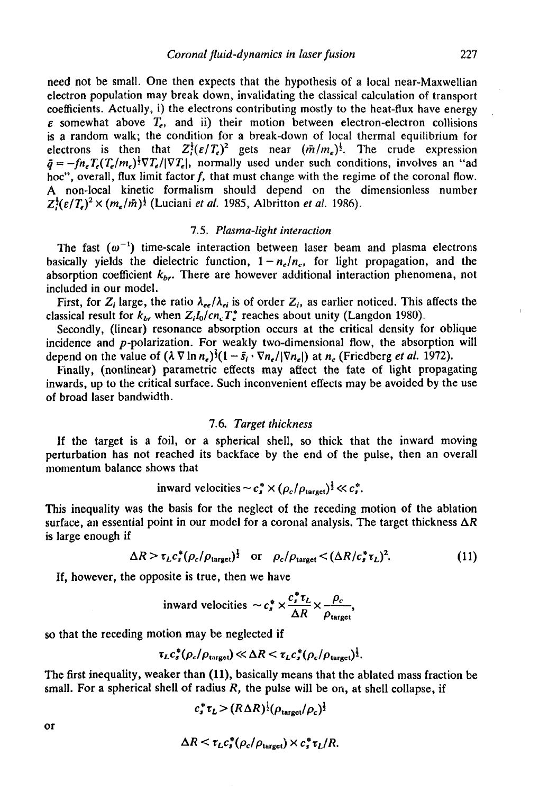need not be small. One then expects that the hypothesis of a local near-Maxwellian electron population may break down, invalidating the classical calculation of transport coefficients. Actually, i) the electrons contributing mostly to the heat-flux have energy  $\varepsilon$  somewhat above  $T_e$ , and ii) their motion between electron-electron collisions is a random walk; the condition for a break-down of local thermal equilibrium for electrons is then that  $Z_i^{\frac{1}{2}}(\varepsilon/T_e)^2$  gets near  $(\bar{m}/m_e)^{\frac{1}{2}}$ . The crude expression  $\bar{q} = -f n_e T_e (T_e / m_e)^{\frac{1}{2}} \nabla T_e / |\nabla T_e|$ , normally used under such conditions, involves an "ad hoc", overall, flux limit factor  $f$ , that must change with the regime of the coronal flow. A non-local kinetic formalism should depend on the dimensionless number  $Z_i^{\frac{1}{2}}(\varepsilon/T_e)^2 \times (m_e/\tilde{m})^{\frac{1}{2}}$  (Luciani *et al.* 1985, Albritton *et al.* 1986).

#### 7.5. *Plasma-light interaction*

The fast  $(\omega^{-1})$  time-scale interaction between laser beam and plasma electrons basically yields the dielectric function,  $1 - n_e/n_c$ , for light propagation, and the absorption coefficient *kbr.* There are however additional interaction phenomena, not included in our model.

First, for  $Z_i$  large, the ratio  $\lambda_{ee}/\lambda_{ei}$  is of order  $Z_i$ , as earlier noticed. This affects the classical result for  $k_b$  when  $Z_iI_0/cn_cT_e^*$  reaches about unity (Langdon 1980).

Secondly, (linear) resonance absorption occurs at the critical density for oblique incidence and  $p$ -polarization. For weakly two-dimensional flow, the absorption will depend on the value of  $(\lambda \nabla \ln n_e)^3 (1 - \bar{s}_i \cdot \nabla n_e / |\nabla n_e|)$  at  $n_e$  (Friedberg *et al.* 1972).

Finally, (nonlinear) parametric effects may affect the fate of light propagating inwards, up to the critical surface. Such inconvenient effects may be avoided by the use of broad laser bandwidth.

#### 7.6. *Target thickness*

If the target is a foil, or a spherical shell, so thick that the inward moving perturbation has not reached its backface by the end of the pulse, then an overall momentum balance shows that

inward velocities 
$$
\sim c_s^* \times (\rho_c/\rho_{\text{target}})^{\frac{1}{2}} \ll c_s^*
$$
.

This inequality was the basis for the neglect of the receding motion of the ablation surface, an essential point in our model for a coronal analysis. The target thickness  $\Delta R$ is large enough if

$$
\Delta R > \tau_L c_s^* (\rho_c / \rho_{\text{target}})^{\frac{1}{2}} \quad \text{or} \quad \rho_c / \rho_{\text{target}} < (\Delta R / c_s^* \tau_L)^2. \tag{11}
$$

If, however, the opposite is true, then we have

inward velocities 
$$
\sim c_s^* \times \frac{c_s^* \tau_L}{\Delta R} \times \frac{\rho_c}{\rho_{\text{target}}}
$$
,

so that the receding motion may be neglected if

$$
\tau_L c_s^*(\rho_c/\rho_{\text{target}}) \ll \Delta R \ll \tau_L c_s^*(\rho_c/\rho_{\text{target}})^{\frac{1}{2}}.
$$

The first inequality, weaker than (11), basically means that the ablated mass fraction be small. For a spherical shell of radius *R,* the pulse will be on, at shell collapse, if

$$
c_s^* \tau_L > (R \Delta R)^{\frac{1}{2}} (\rho_{\text{target}}/\rho_c)^{\frac{1}{2}}
$$

$$
\Delta R < \tau_L c_s^*(\rho_c/\rho_{\text{target}}) \times c_s^* \tau_L/R.
$$

or